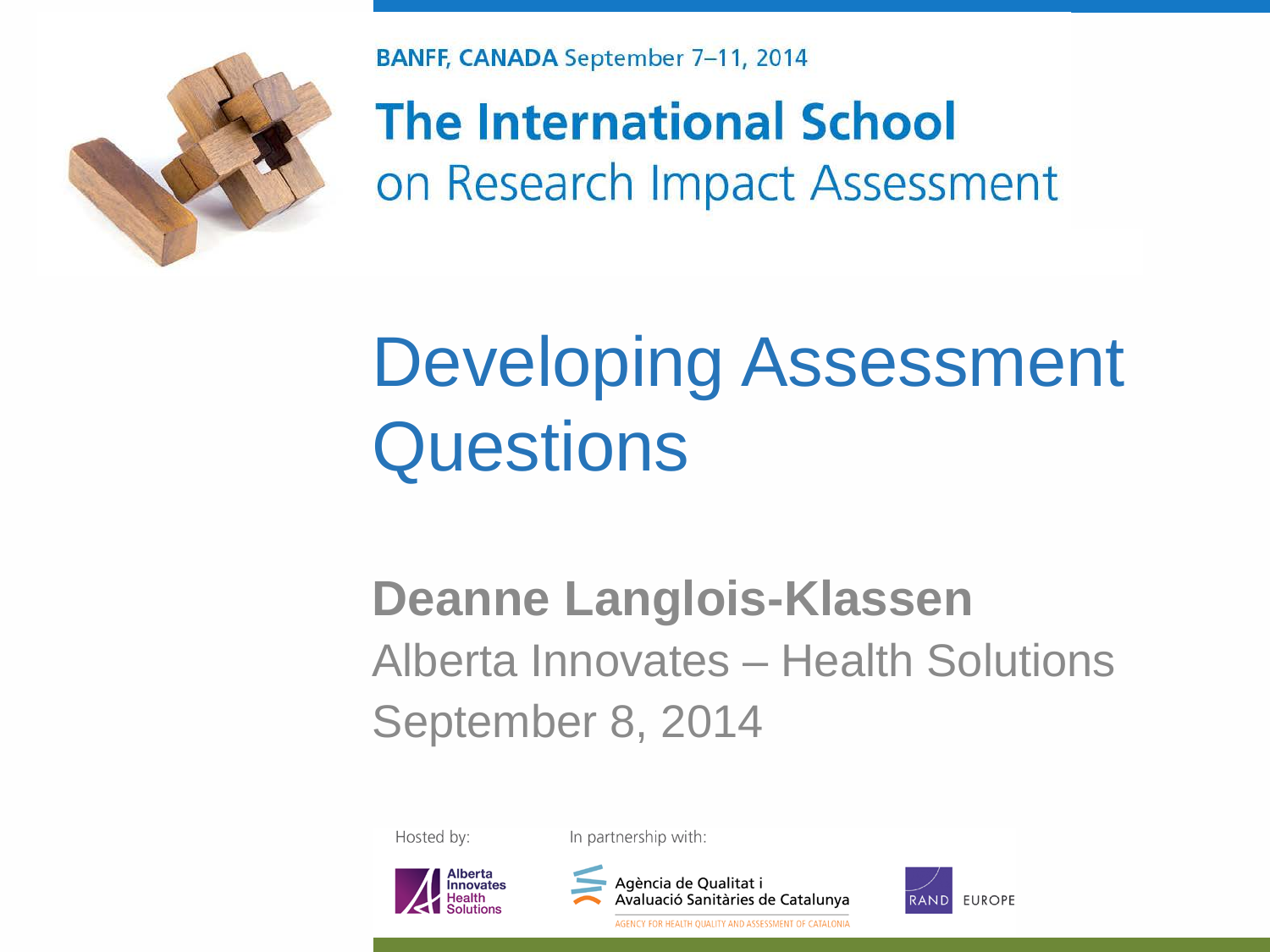

**BANFF, CANADA September 7-11, 2014** 

**The International School** on Research Impact Assessment

#### Developing Assessment **Questions**

#### **Deanne Langlois-Klassen** Alberta Innovates – Health Solutions September 8, 2014

Hosted by:

In partnership with:





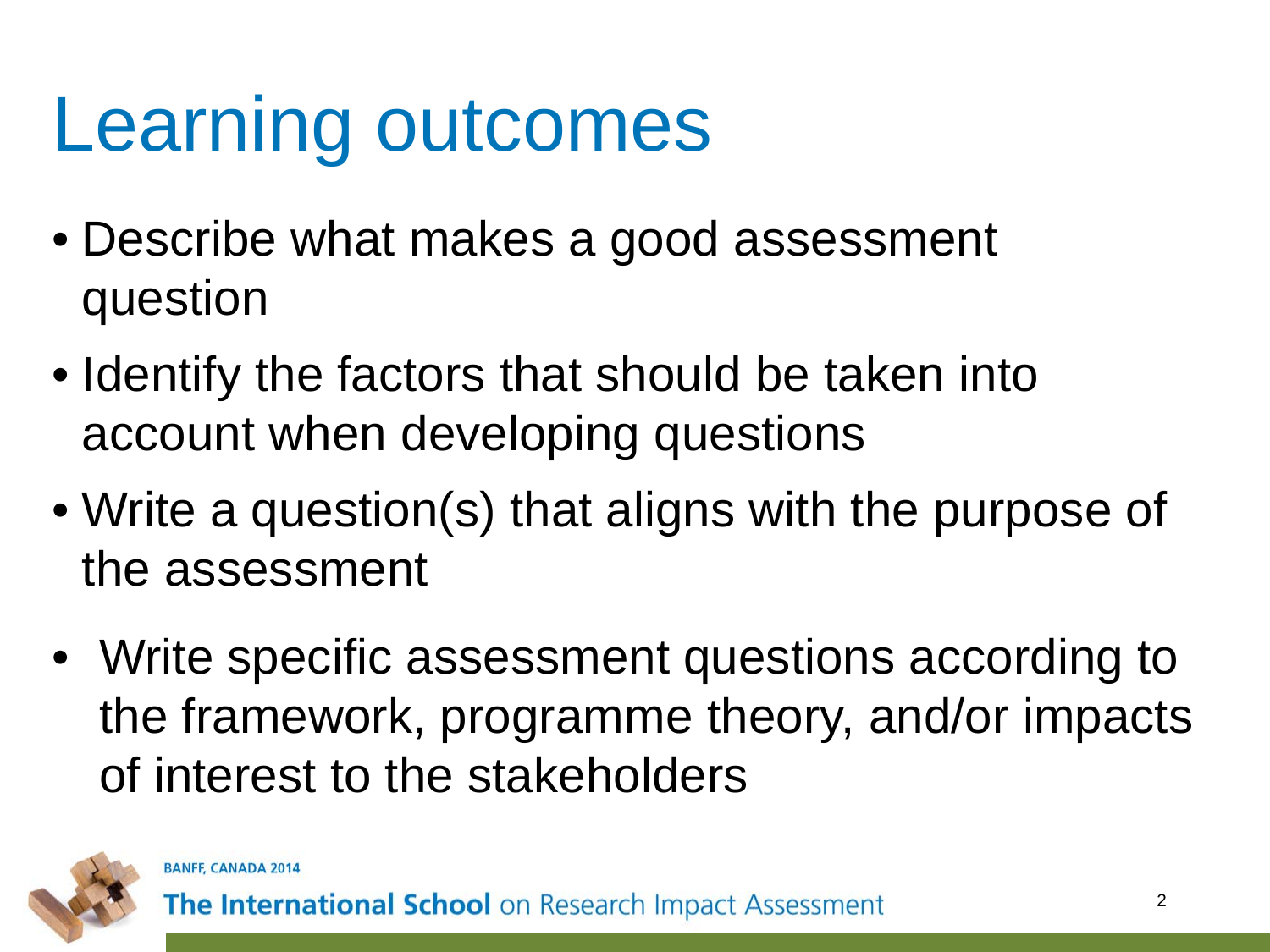#### Learning outcomes

- Describe what makes a good assessment question
- Identify the factors that should be taken into account when developing questions
- Write a question(s) that aligns with the purpose of the assessment
- Write specific assessment questions according to the framework, programme theory, and/or impacts of interest to the stakeholders

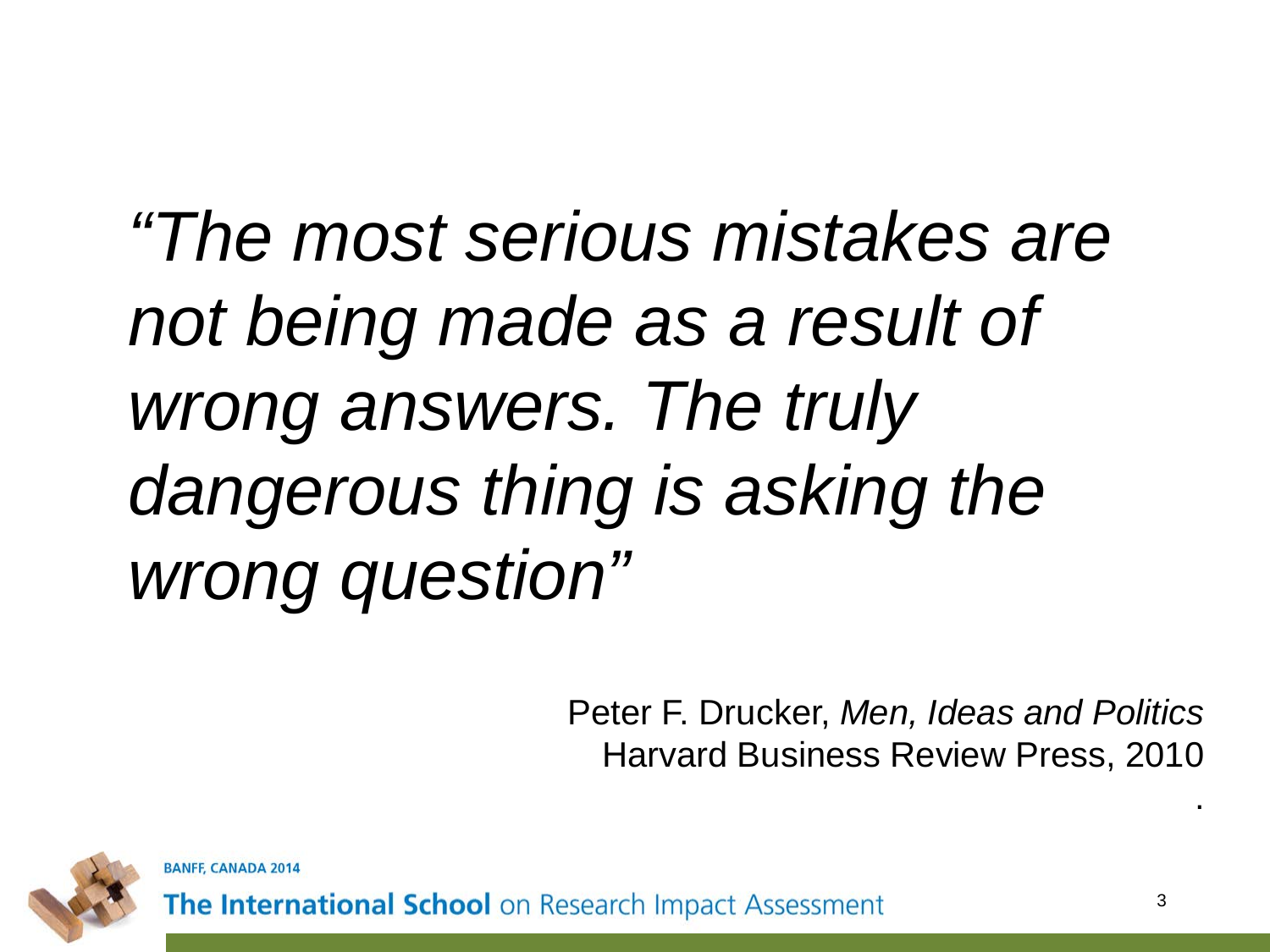#### *"The most serious mistakes are not being made as a result of wrong answers. The truly dangerous thing is asking the wrong question"*

Peter F. Drucker, *Men, Ideas and Politics* Harvard Business Review Press, 2010



**BANFF, CANADA 2014** 

The International School on Research Impact Assessment

.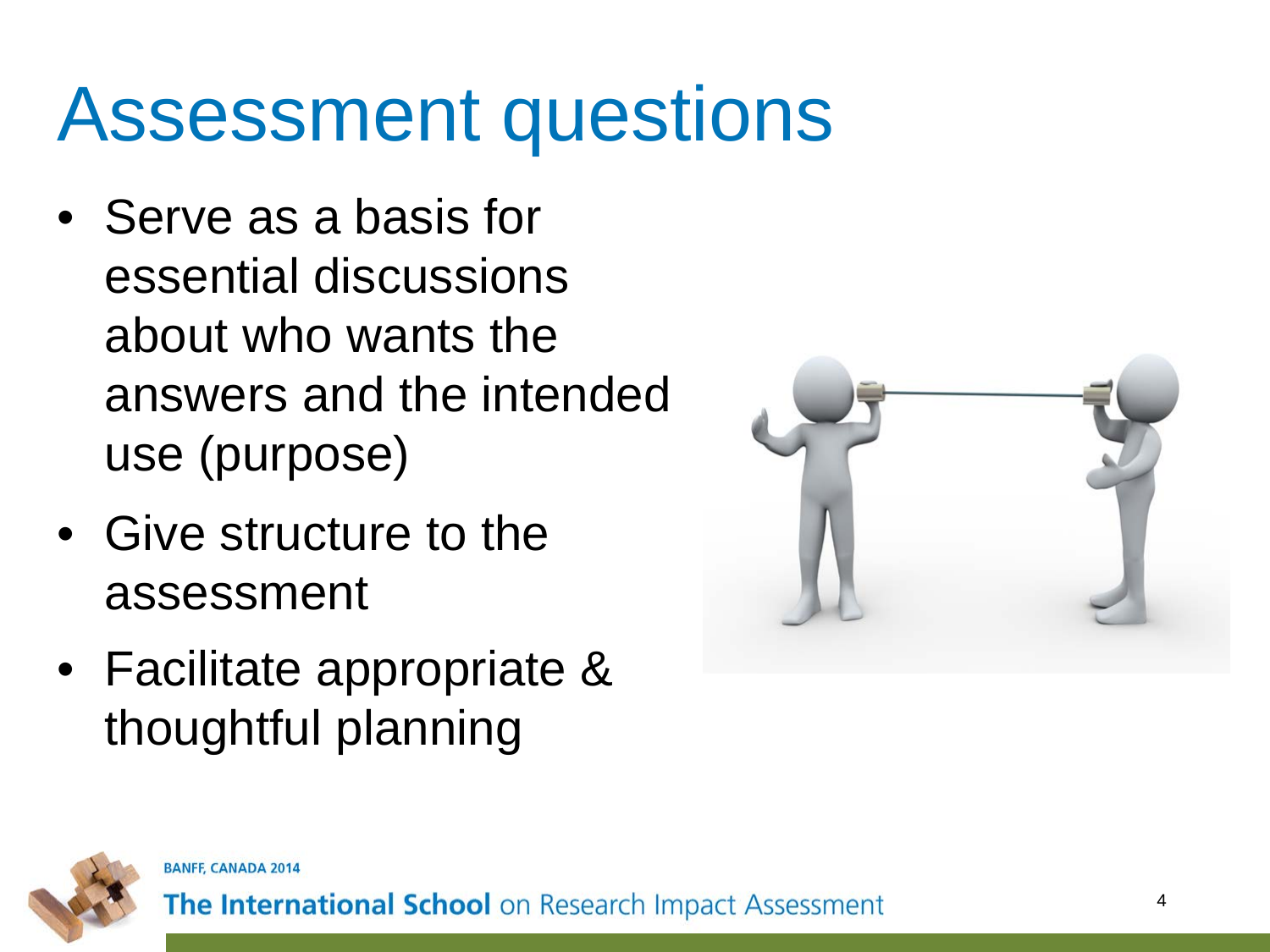#### Assessment questions

- Serve as a basis for essential discussions about who wants the answers and the intended use (purpose)
- Give structure to the assessment
- Facilitate appropriate & thoughtful planning





**BANFF, CANADA 2014**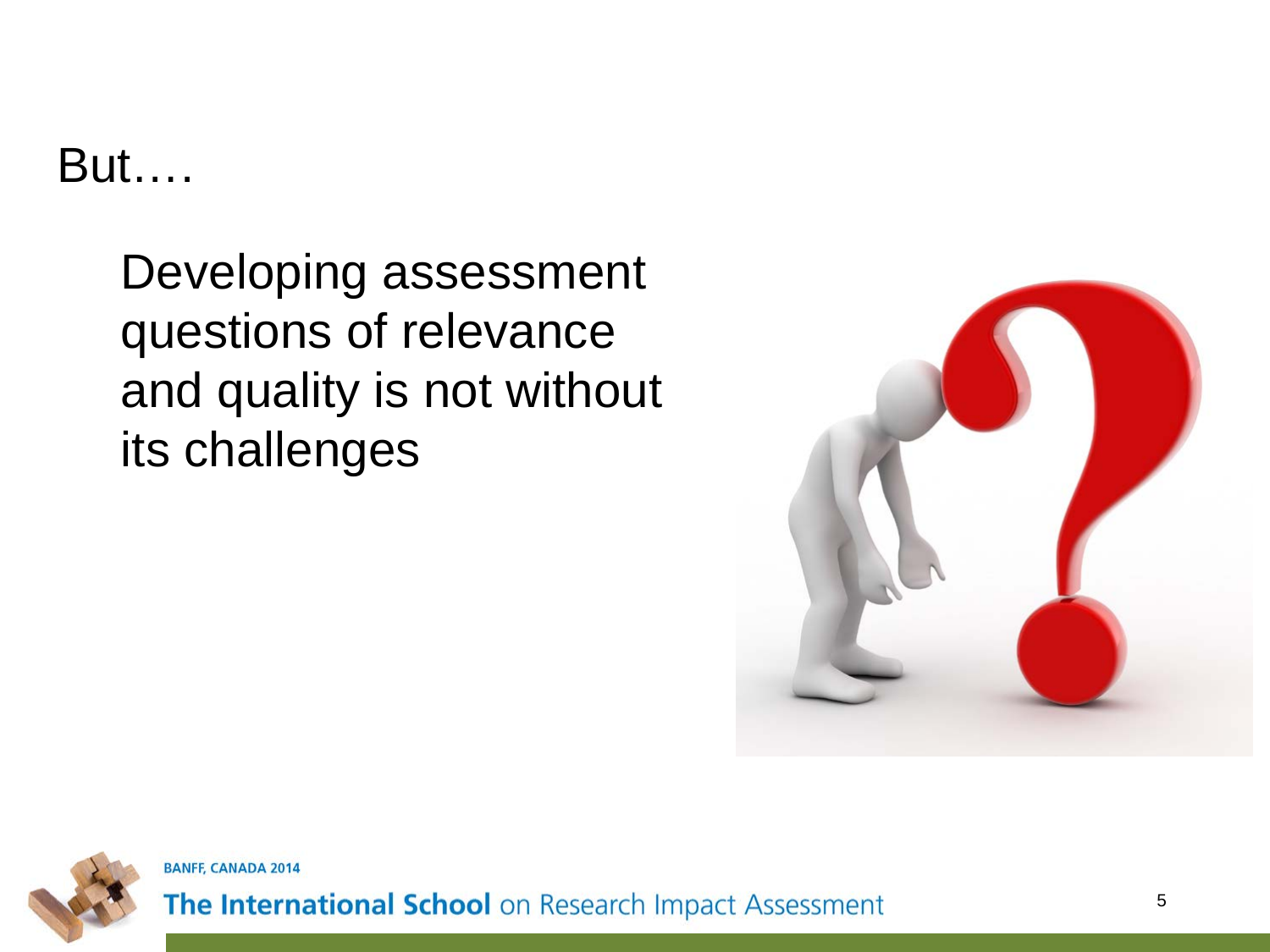But….

Developing assessment questions of relevance and quality is not without its challenges





**BANFF, CANADA 2014**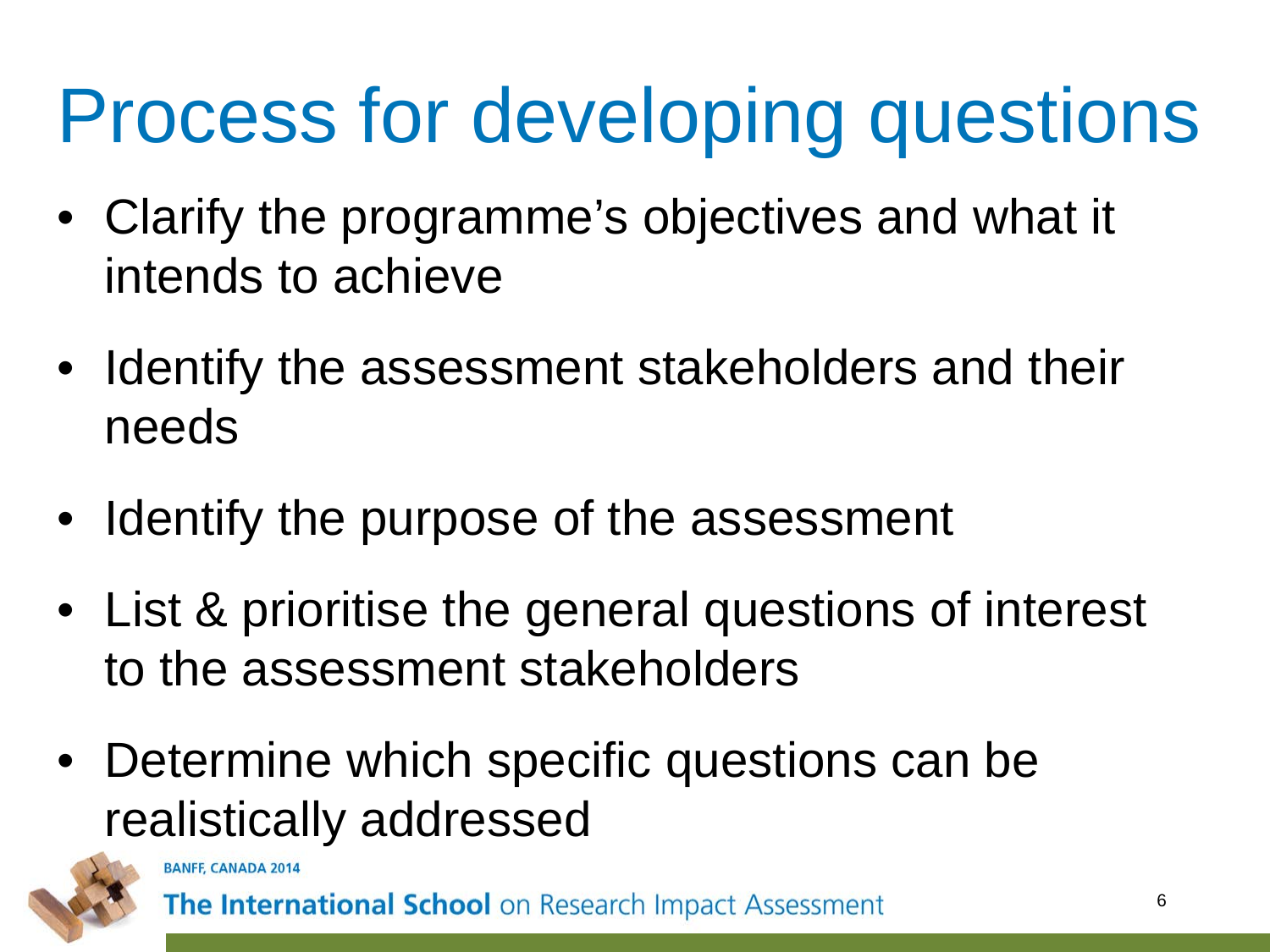# Process for developing questions

- Clarify the programme's objectives and what it intends to achieve
- Identify the assessment stakeholders and their needs
- Identify the purpose of the assessment
- List & prioritise the general questions of interest to the assessment stakeholders
- Determine which specific questions can be realistically addressed



BANFF, CANADA 20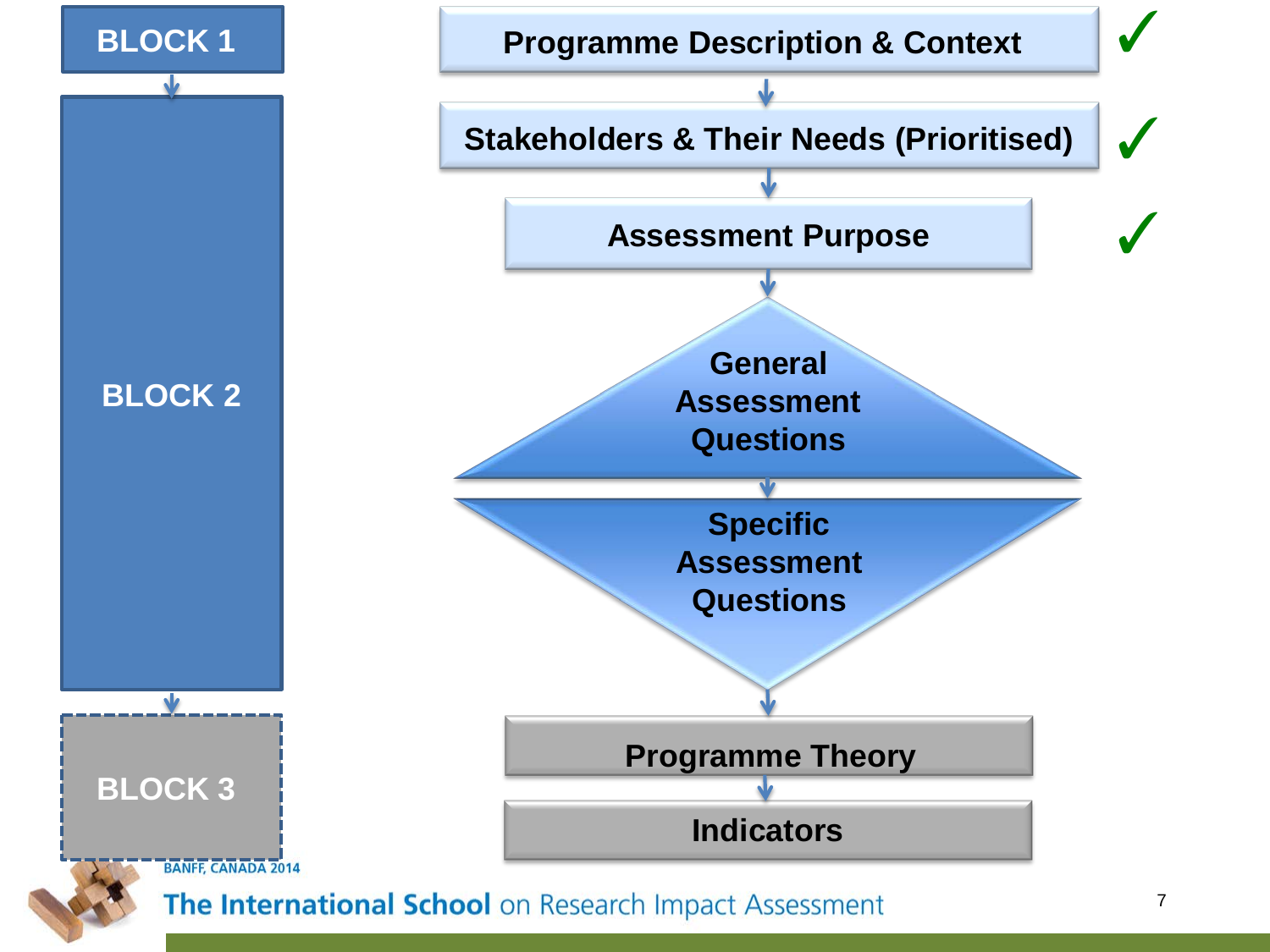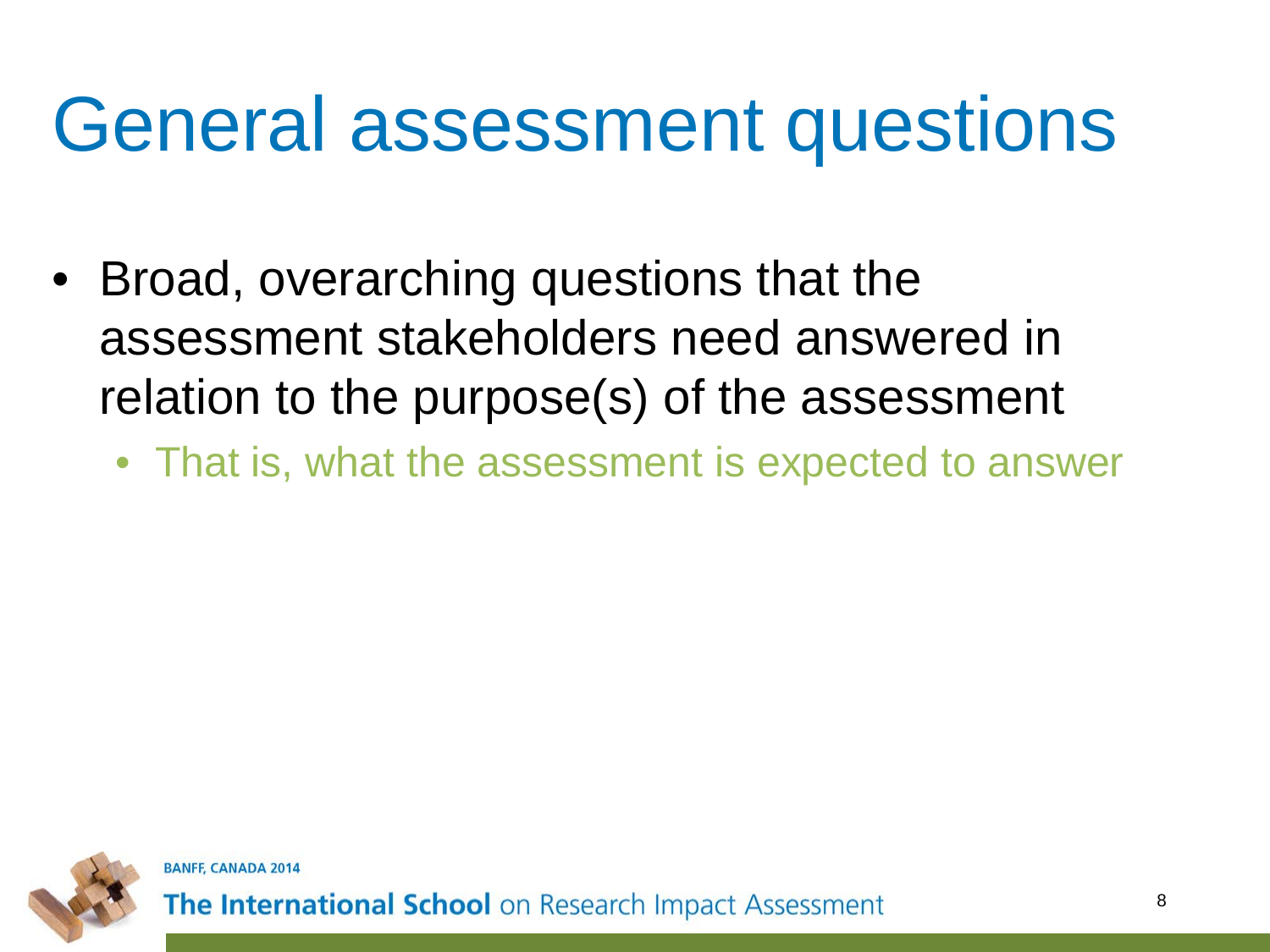#### General assessment questions

- Broad, overarching questions that the assessment stakeholders need answered in relation to the purpose(s) of the assessment
	- That is, what the assessment is expected to answer

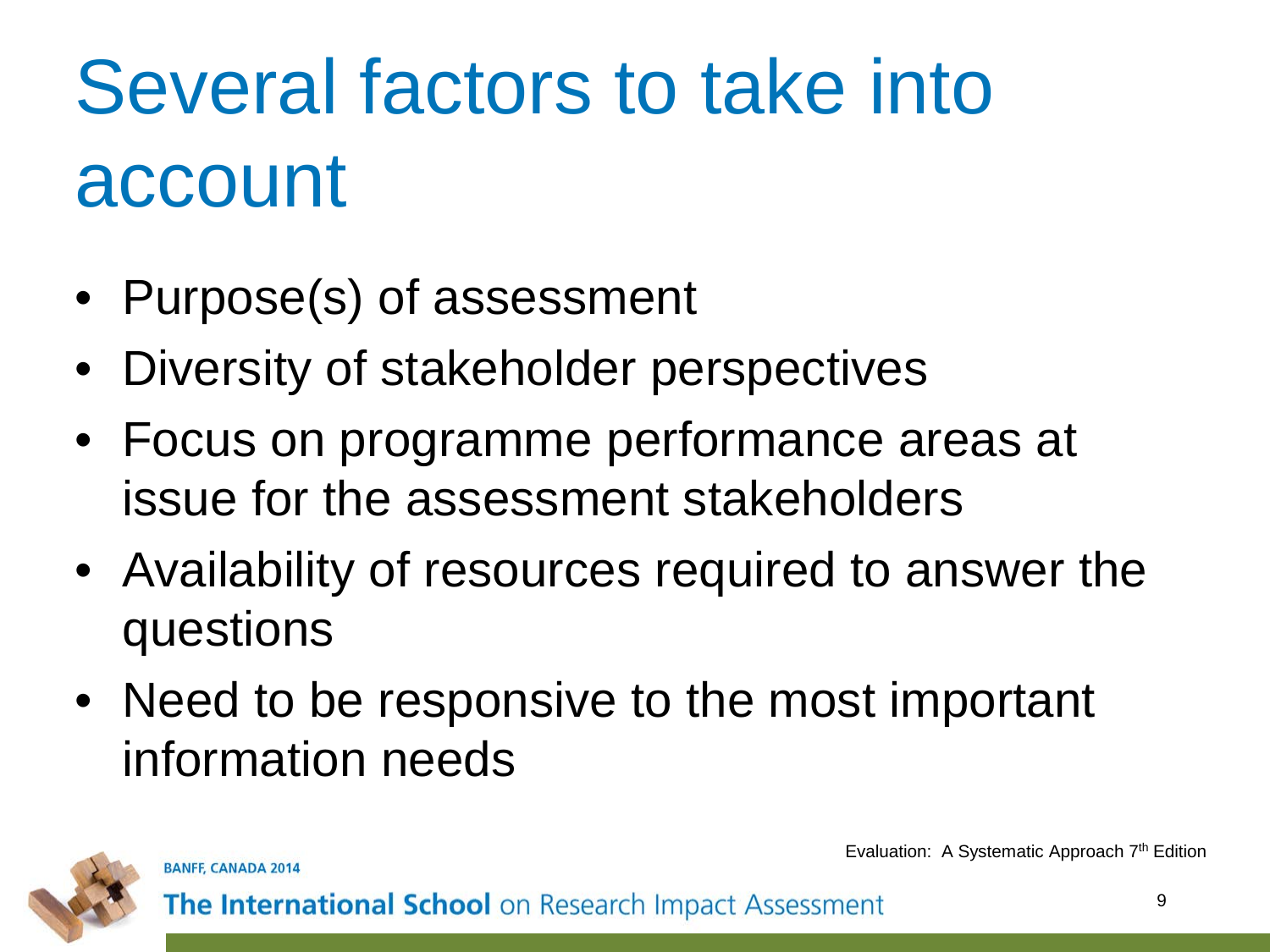# Several factors to take into account

- Purpose(s) of assessment
- Diversity of stakeholder perspectives
- Focus on programme performance areas at issue for the assessment stakeholders
- Availability of resources required to answer the questions
- Need to be responsive to the most important information needs



**BANFF, CANADA 2014** 

Evaluation: A Systematic Approach 7th Edition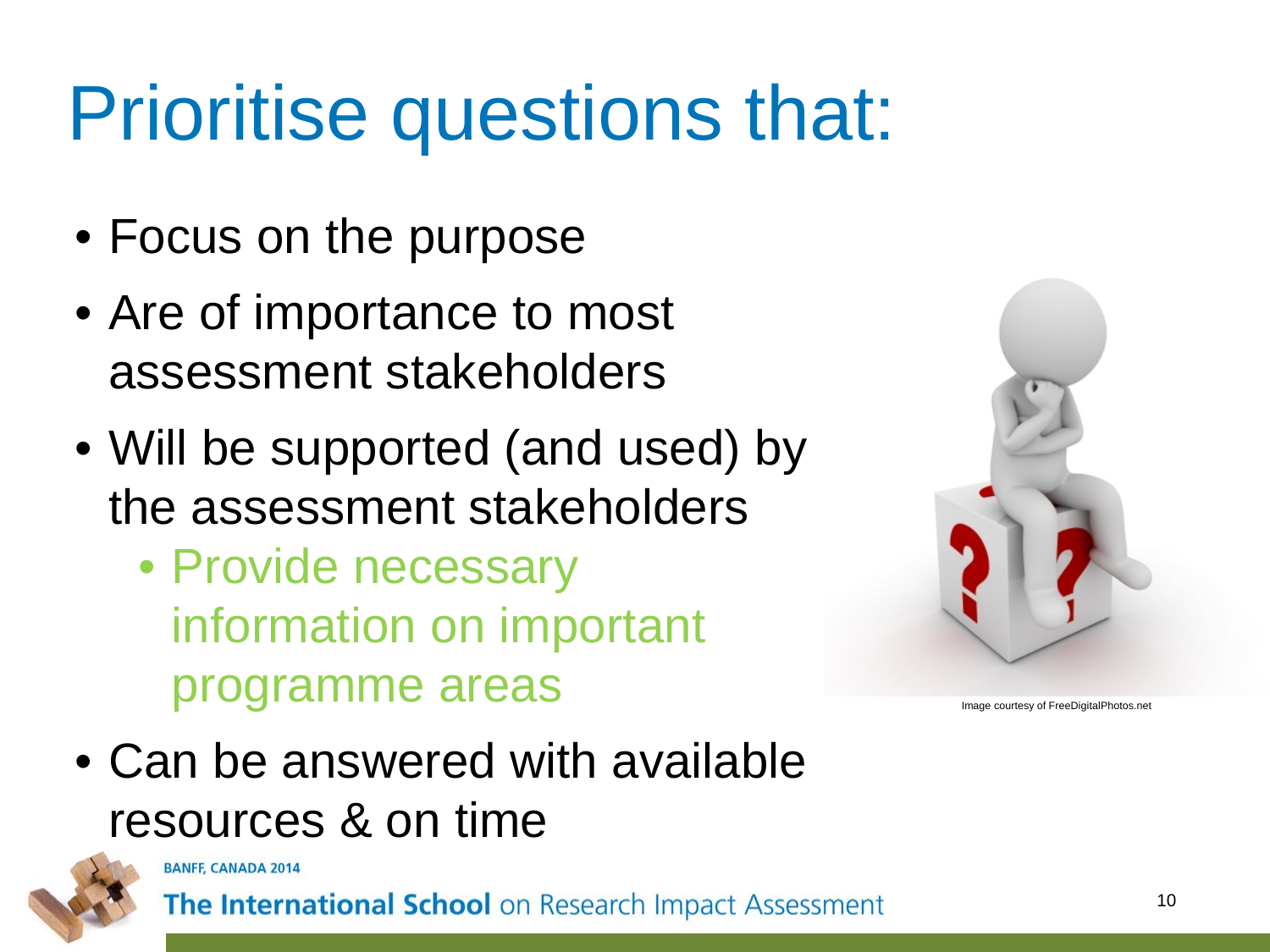#### Prioritise questions that:

- Focus on the purpose
- Are of importance to most assessment stakeholders
- Will be supported (and used) by the assessment stakeholders
	- Provide necessary information on important programme areas



Image courtesy of FreeDigitalPhotos.net

• Can be answered with available resources & on time



**BANFF, CANADA 2014**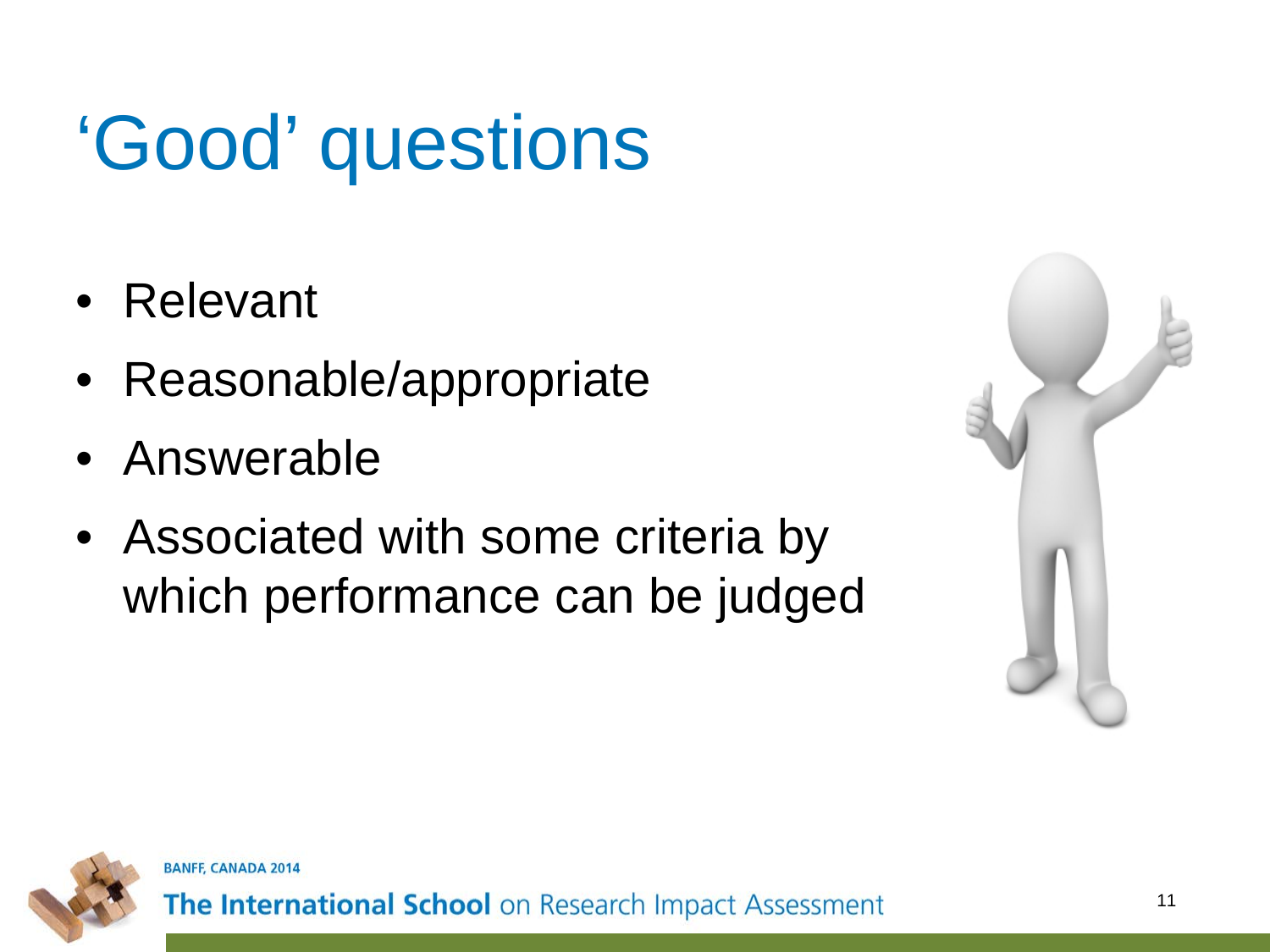# 'Good' questions

- Relevant
- Reasonable/appropriate
- Answerable
- Associated with some criteria by which performance can be judged



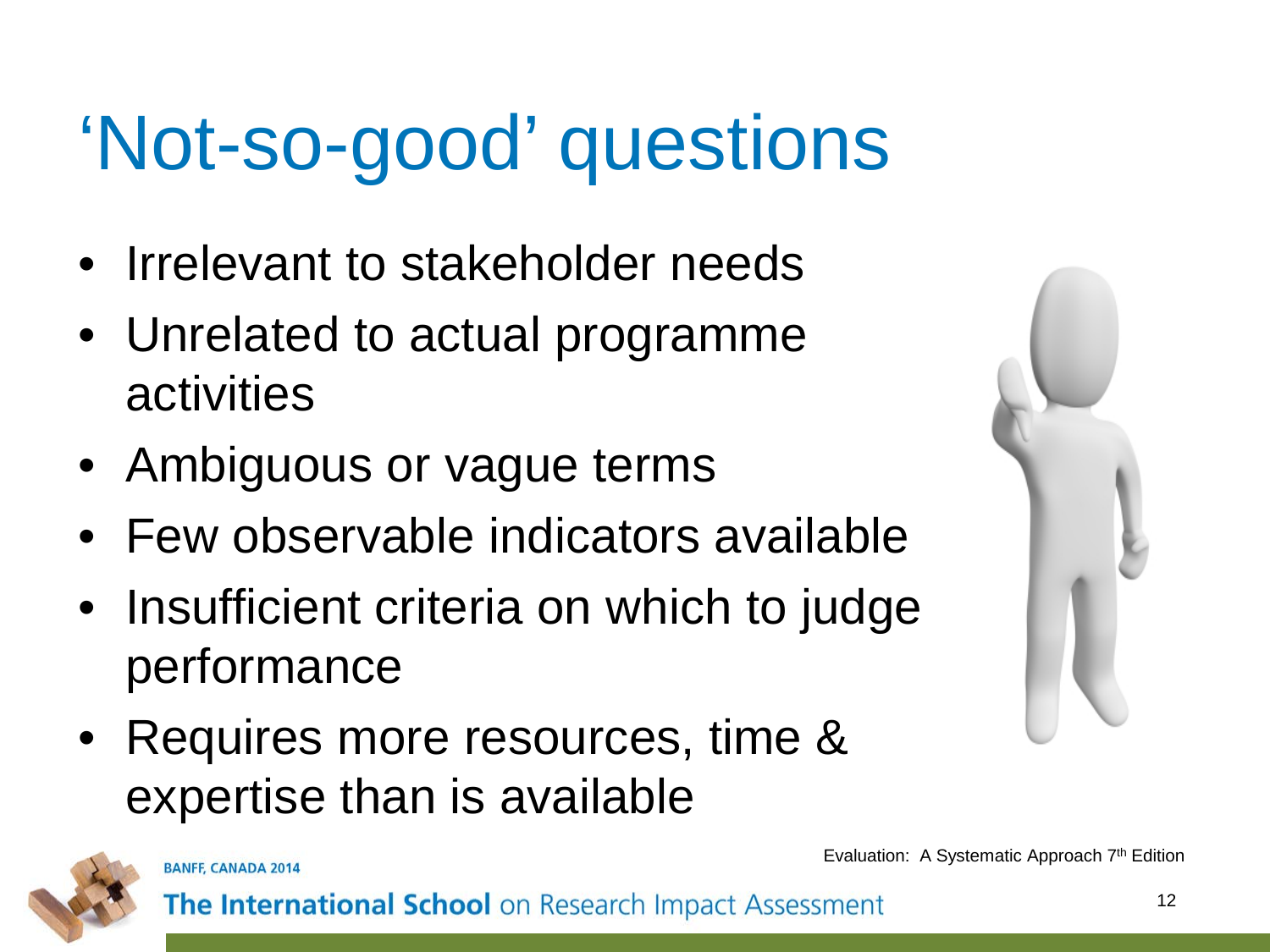# 'Not-so-good' questions

- Irrelevant to stakeholder needs
- Unrelated to actual programme activities
- Ambiguous or vague terms
- Few observable indicators available
- Insufficient criteria on which to judge performance
- Requires more resources, time & expertise than is available



**BANFF, CANADA 2014** 

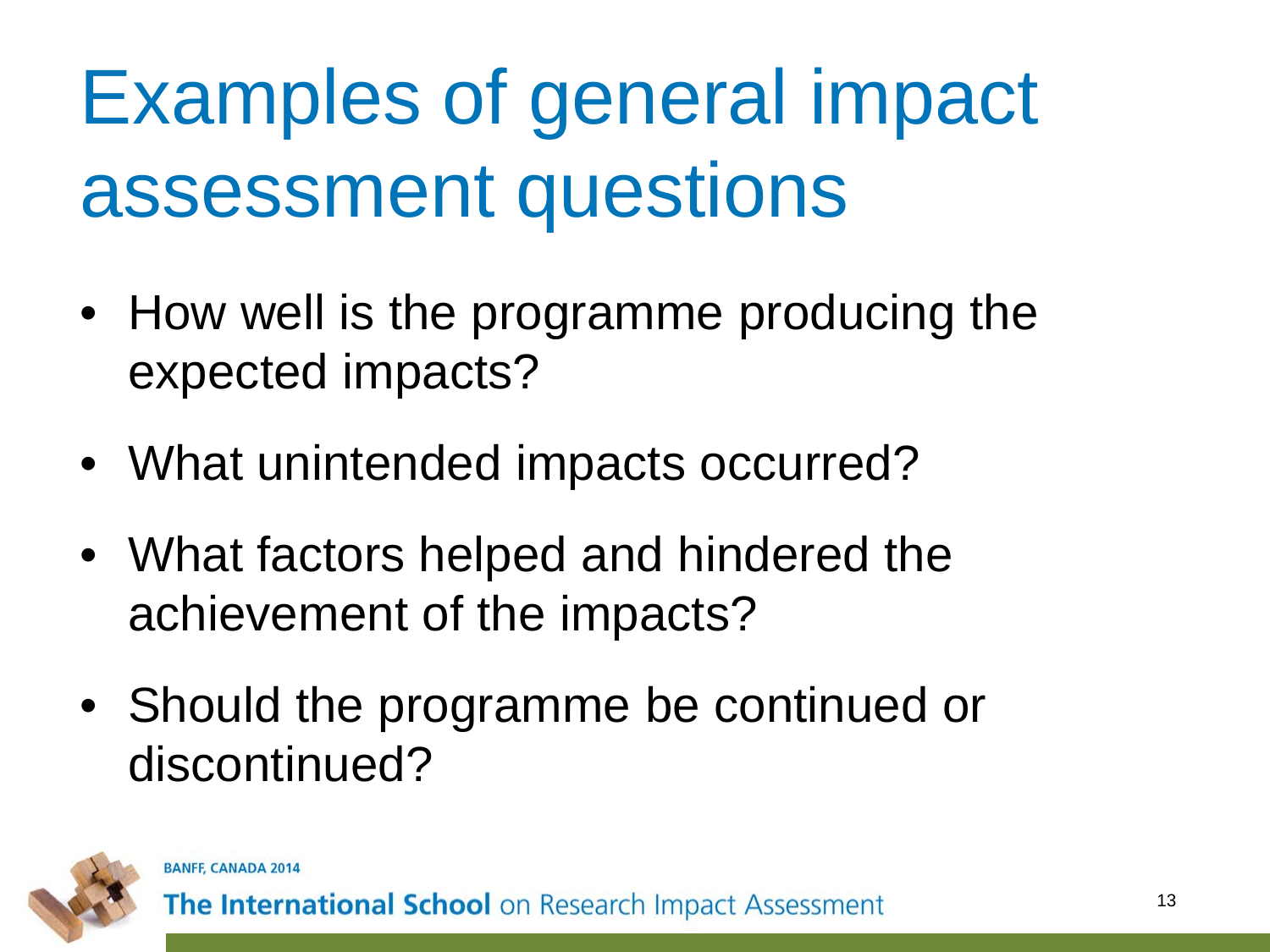# Examples of general impact assessment questions

- How well is the programme producing the expected impacts?
- What unintended impacts occurred?
- What factors helped and hindered the achievement of the impacts?
- Should the programme be continued or discontinued?

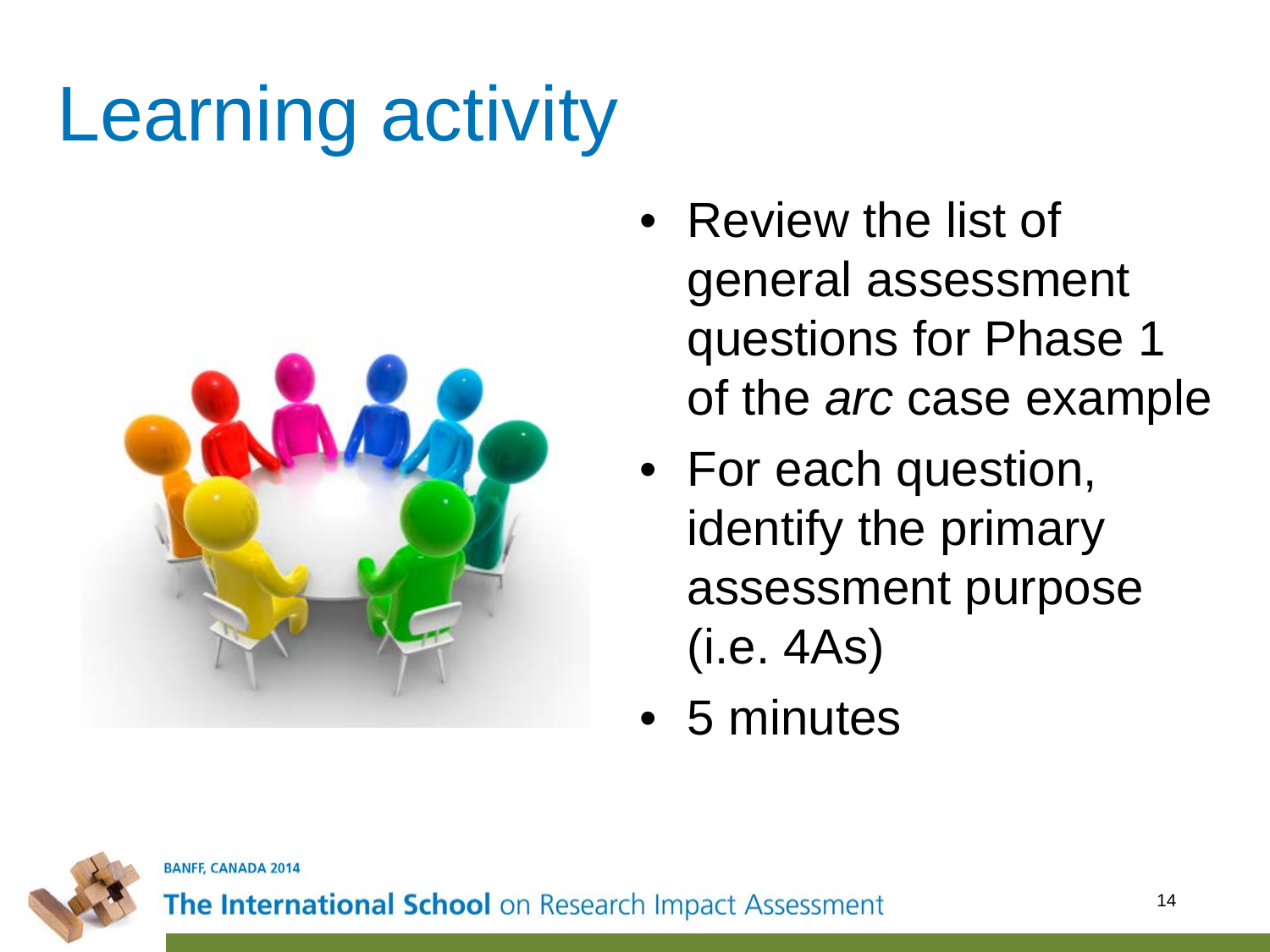# Learning activity



- Review the list of general assessment questions for Phase 1 of the *arc* case example
- For each question, identify the primary assessment purpose (i.e. 4As)
- 5 minutes



**BANFF, CANADA 2014**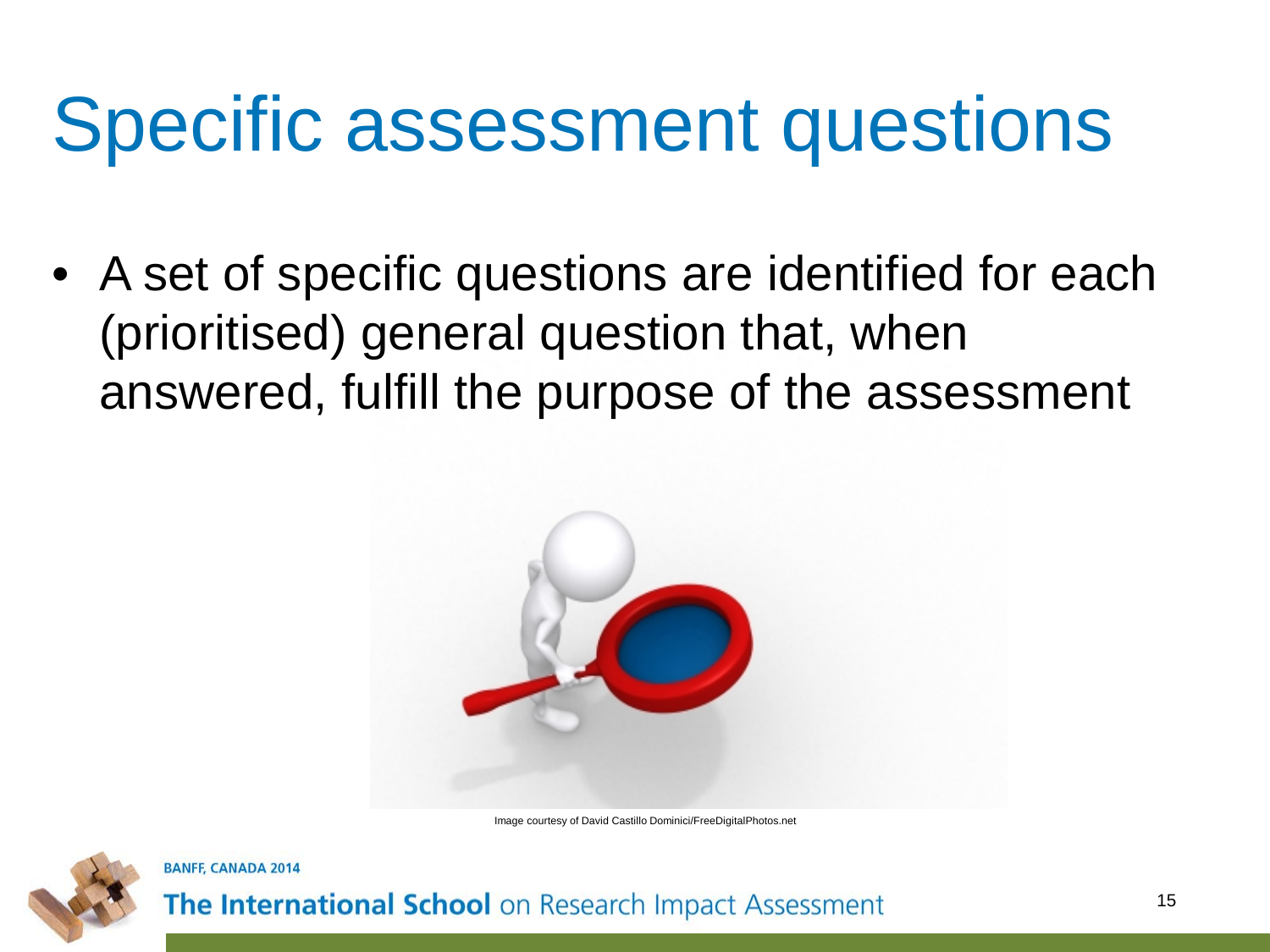#### Specific assessment questions

• A set of specific questions are identified for each (prioritised) general question that, when answered, fulfill the purpose of the assessment



Image courtesy of David Castillo Dominici/FreeDigitalPhotos.net



**BANFF, CANADA 2014**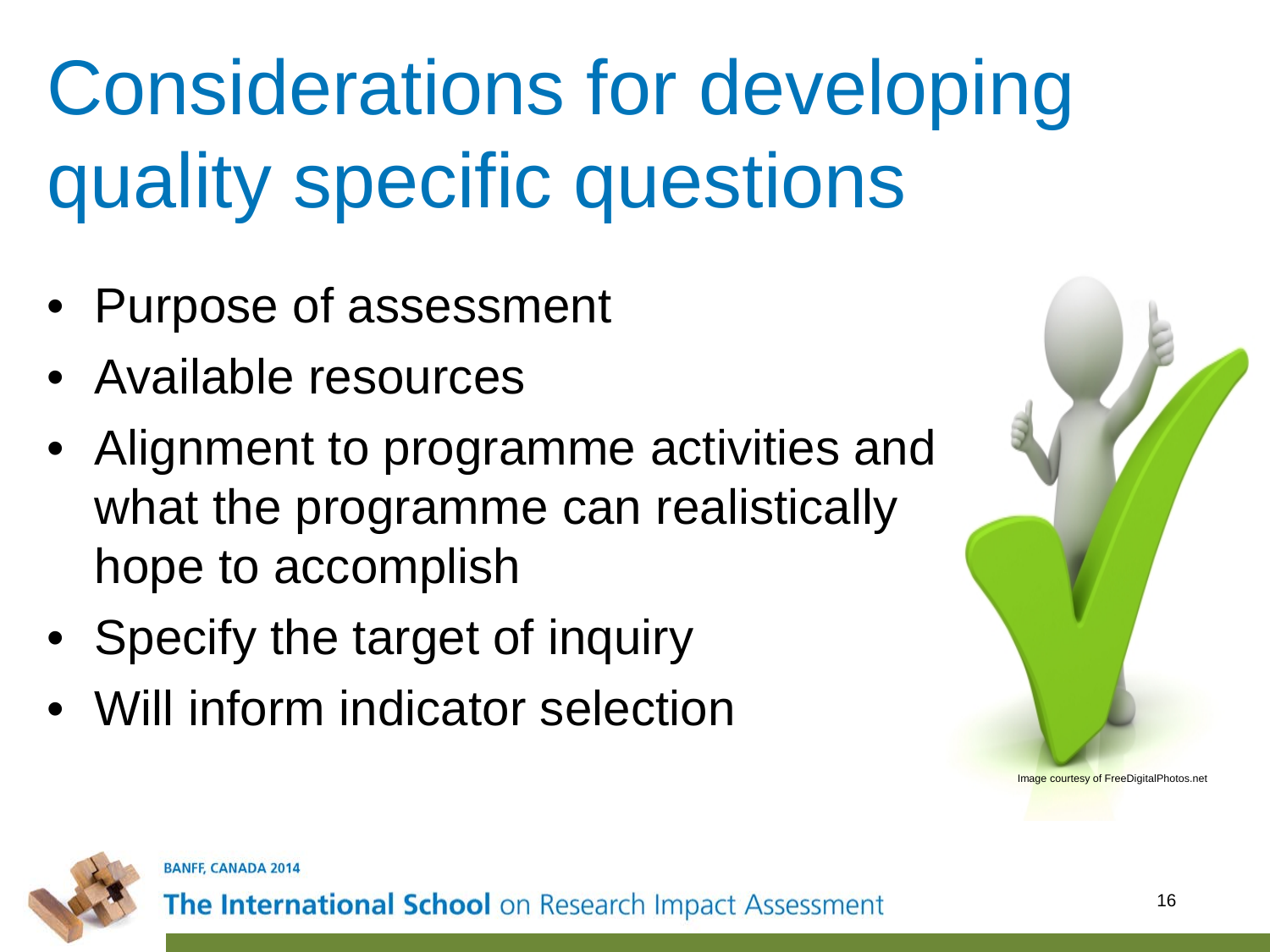# Considerations for developing quality specific questions

- Purpose of assessment
- Available resources
- Alignment to programme activities and what the programme can realistically hope to accomplish
- Specify the target of inquiry
- Will inform indicator selection





**BANFF, CANADA 2014**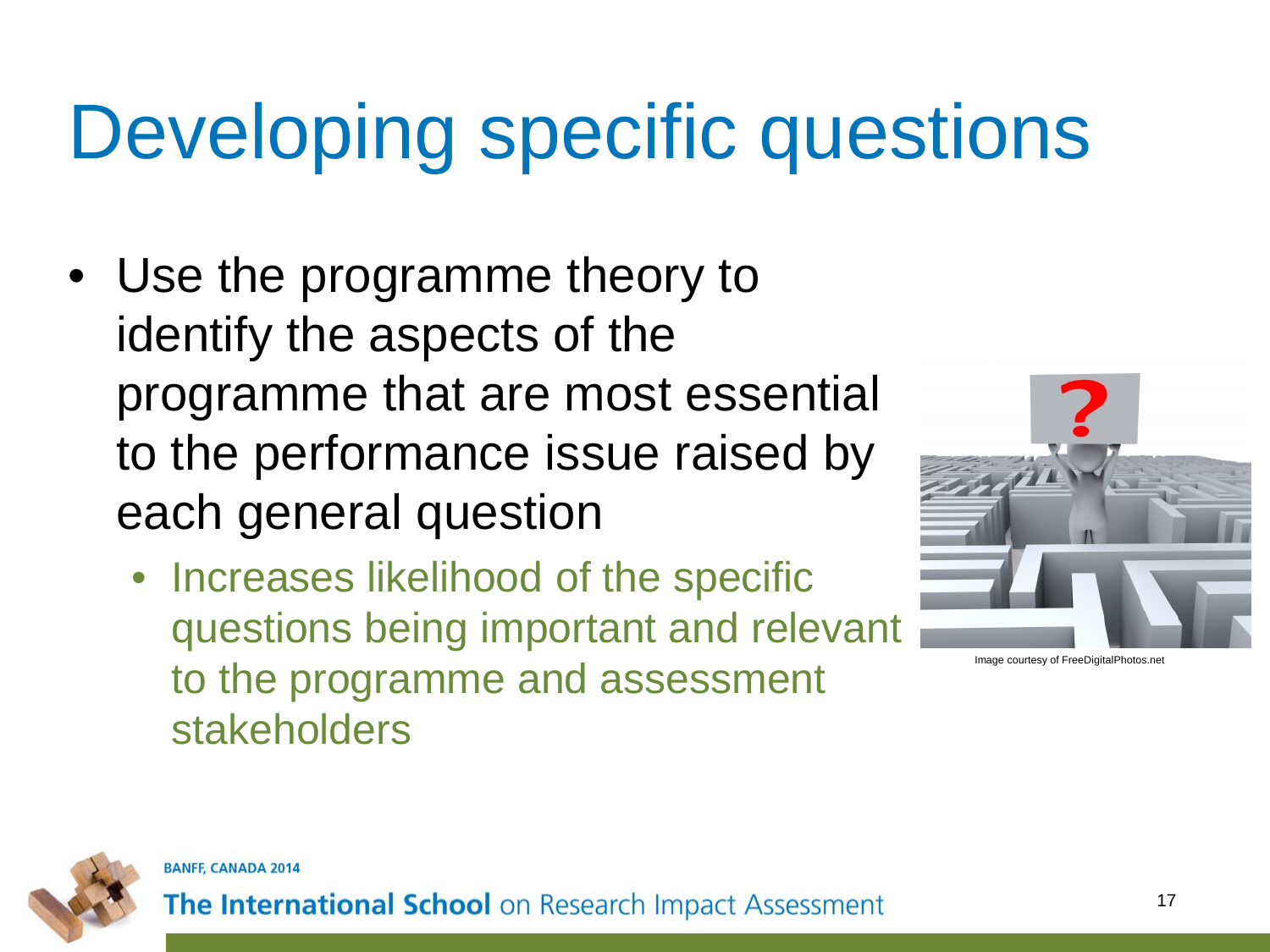# Developing specific questions

- Use the programme theory to identify the aspects of the programme that are most essential to the performance issue raised by each general question
	- Increases likelihood of the specific questions being important and relevant to the programme and assessment stakeholders





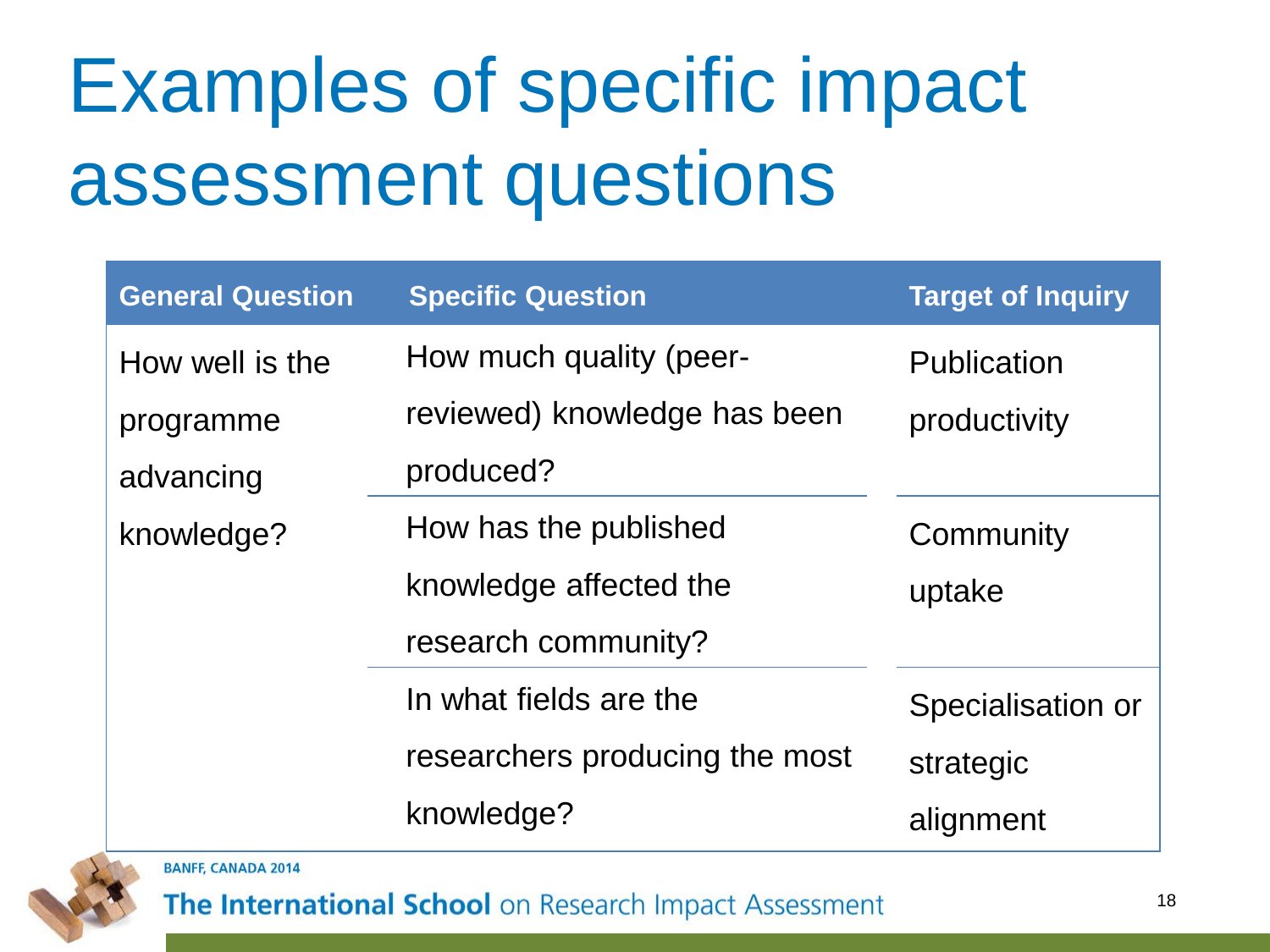# Examples of specific impact assessment questions

| <b>General Question</b> | <b>Specific Question</b>       | <b>Target of Inquiry</b> |
|-------------------------|--------------------------------|--------------------------|
| How well is the         | How much quality (peer-        | Publication              |
| programme               | reviewed) knowledge has been   | productivity             |
| advancing               | produced?                      |                          |
| knowledge?              | How has the published          | Community                |
|                         | knowledge affected the         | uptake                   |
|                         | research community?            |                          |
|                         | In what fields are the         | Specialisation or        |
|                         | researchers producing the most | strategic                |
|                         | knowledge?                     | alignment                |

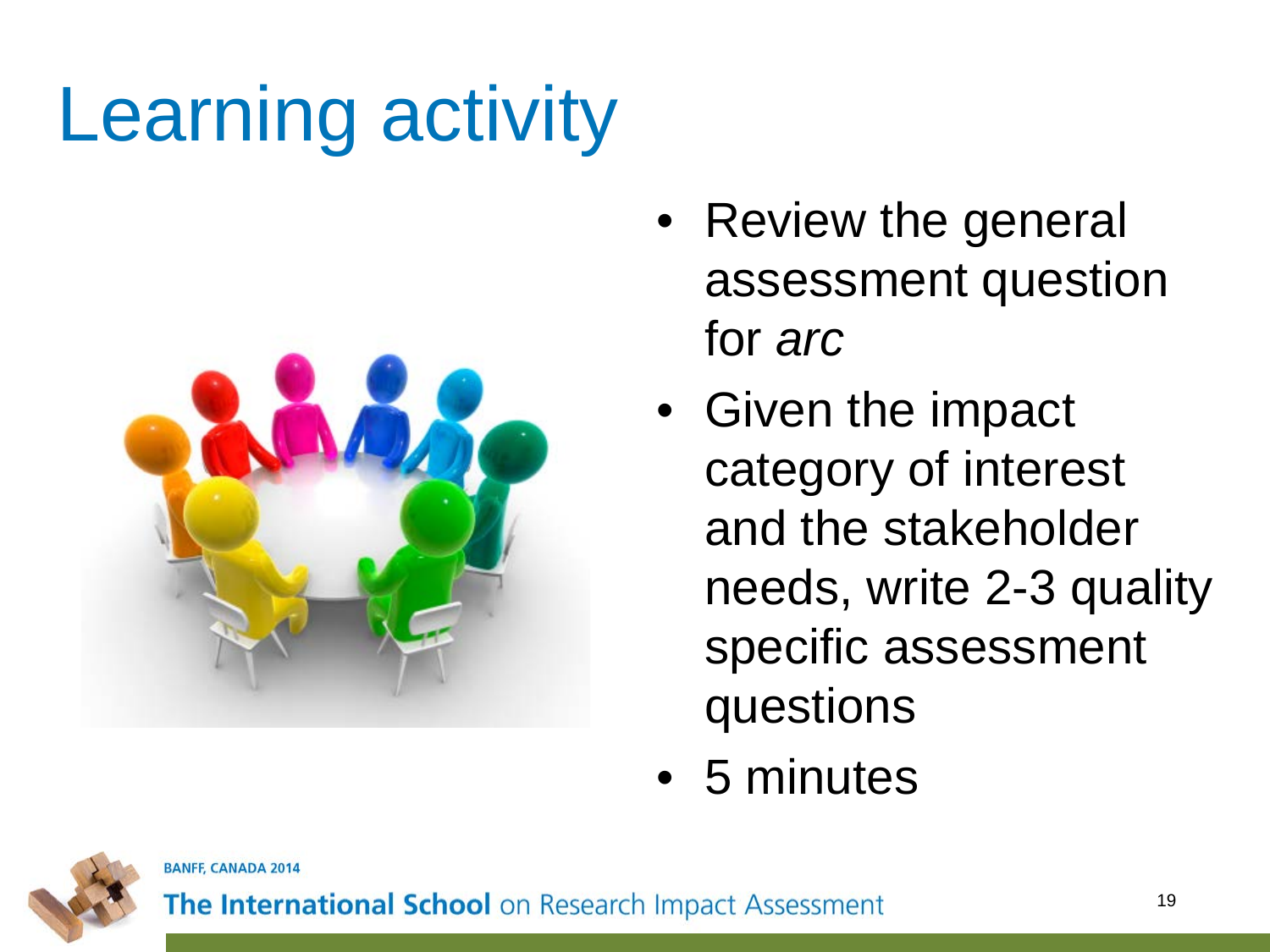# Learning activity



- Review the general assessment question for *arc*
- Given the impact category of interest and the stakeholder needs, write 2-3 quality specific assessment questions
- 5 minutes

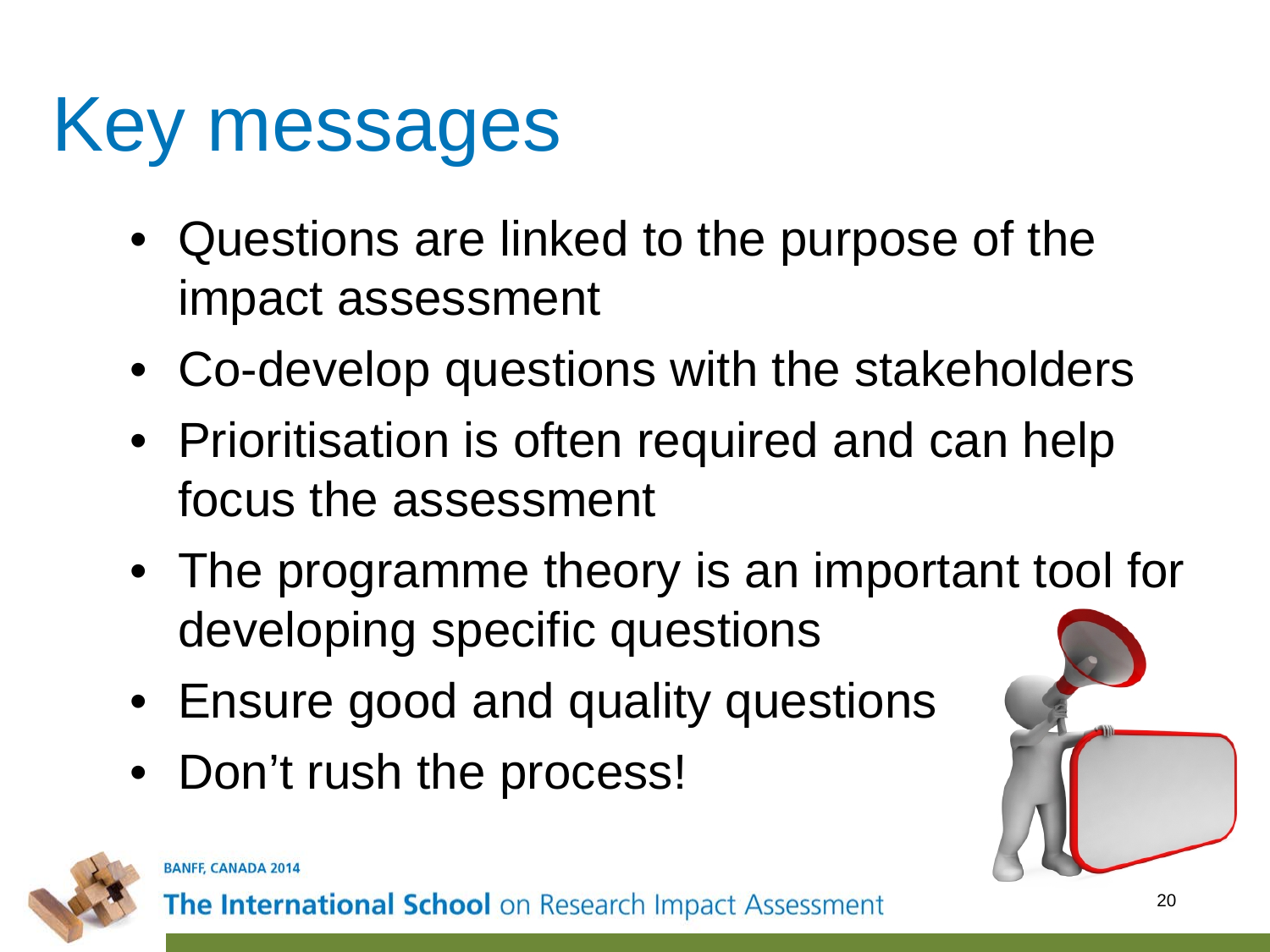#### Key messages

- Questions are linked to the purpose of the impact assessment
- Co-develop questions with the stakeholders
- Prioritisation is often required and can help focus the assessment
- The programme theory is an important tool for developing specific questions
- Ensure good and quality questions
- Don't rush the process!



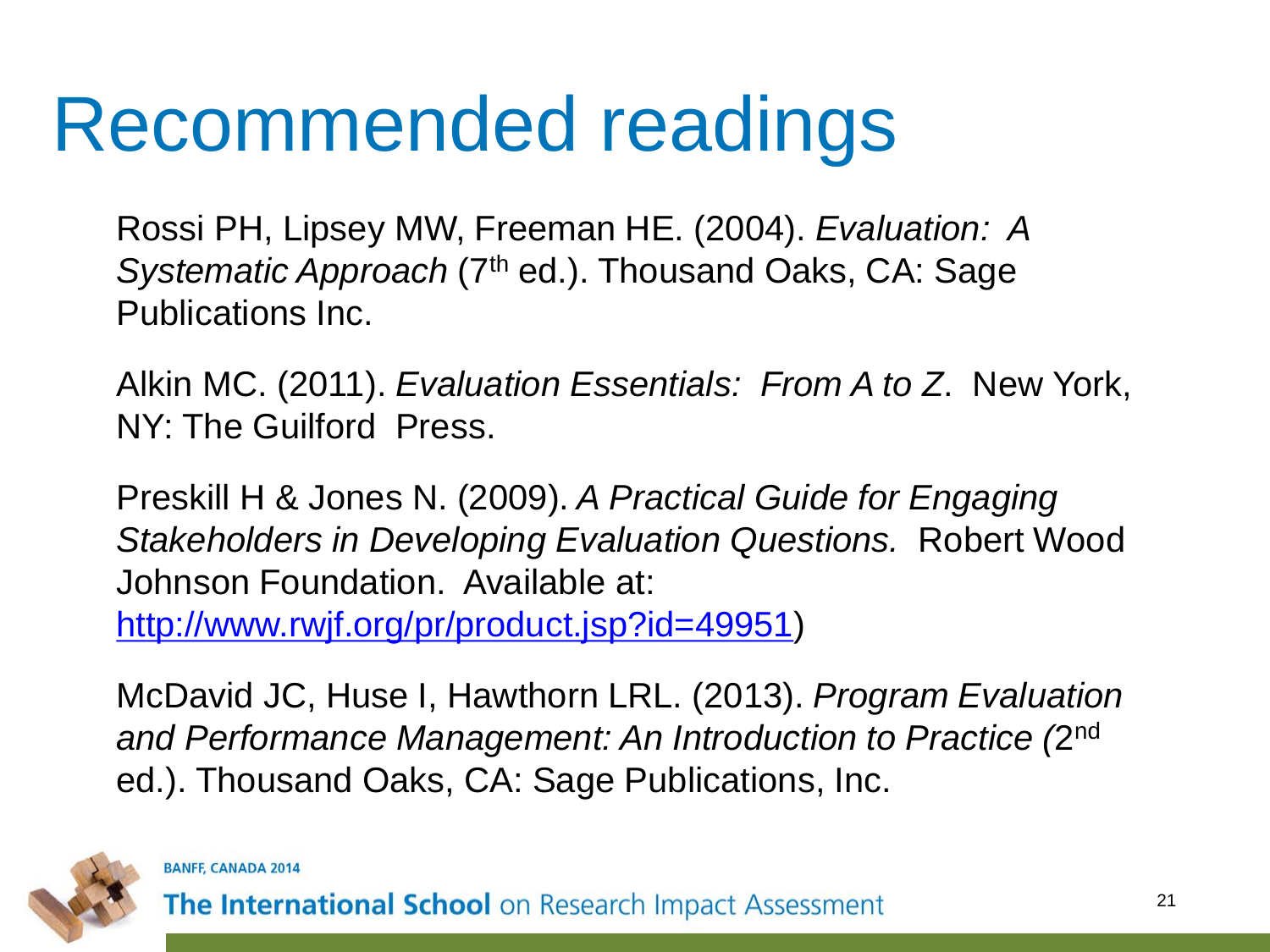#### Recommended readings

Rossi PH, Lipsey MW, Freeman HE. (2004). *Evaluation: A*  Systematic Approach (7<sup>th</sup> ed.). Thousand Oaks, CA: Sage Publications Inc.

Alkin MC. (2011). *Evaluation Essentials: From A to Z*. New York, NY: The Guilford Press.

Preskill H & Jones N. (2009). *A Practical Guide for Engaging Stakeholders in Developing Evaluation Questions.* Robert Wood Johnson Foundation. Available at: [http://www.rwjf.org/pr/product.jsp?id=49951\)](http://www.rwjf.org/pr/product.jsp?id=49951)

McDavid JC, Huse I, Hawthorn LRL. (2013). *Program Evaluation and Performance Management: An Introduction to Practice (*2nd ed.). Thousand Oaks, CA: Sage Publications, Inc.



**BANFF, CANADA 2014**